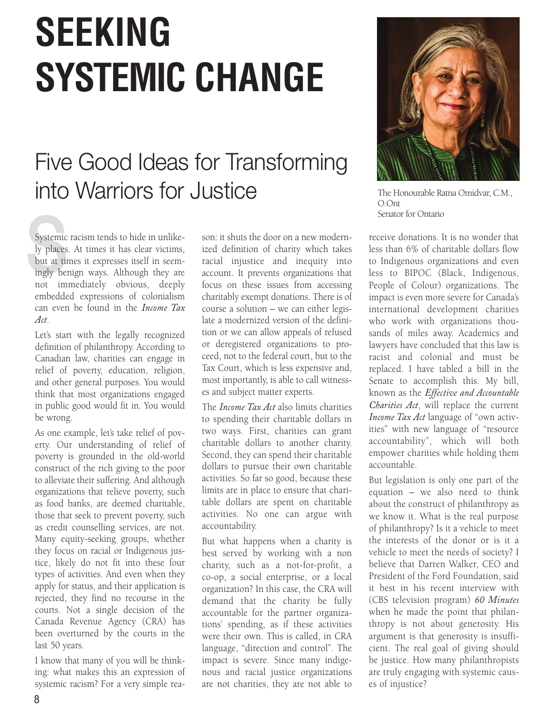## **SEEKING SYSTEMIC CHANGE**

## Five Good Ideas for Transforming into Warriors for Justice

Systemic<br>ly places<br>but at tin<br>ingly ber Systemic racism tends to hide in unlikely places. At times it has clear victims, but at times it expresses itself in seemingly benign ways. Although they are not immediately obvious, deeply embedded expressions of colonialism can even be found in the *Income Tax Act*.

Let's start with the legally recognized definition of philanthropy. According to Canadian law, charities can engage in relief of poverty, education, religion, and other general purposes. You would think that most organizations engaged in public good would fit in. You would be wrong.

As one example, let's take relief of poverty. Our understanding of relief of poverty is grounded in the old-world construct of the rich giving to the poor to alleviate their suffering. And although organizations that relieve poverty, such as food banks, are deemed charitable, those that seek to prevent poverty, such as credit counselling services, are not. Many equity-seeking groups, whether they focus on racial or Indigenous justice, likely do not fit into these four types of activities. And even when they apply for status, and their application is rejected, they find no recourse in the courts. Not a single decision of the Canada Revenue Agency (CRA) has been overturned by the courts in the last 50 years.

I know that many of you will be thinking: what makes this an expression of systemic racism? For a very simple reason: it shuts the door on a new modernized definition of charity which takes racial injustice and inequity into account. It prevents organizations that focus on these issues from accessing charitably exempt donations. There is of course a solution – we can either legislate a modernized version of the definition or we can allow appeals of refused or deregistered organizations to proceed, not to the federal court, but to the Tax Court, which is less expensive and, most importantly, is able to call witnesses and subject matter experts.

The *Income Tax Act* also limits charities to spending their charitable dollars in two ways. First, charities can grant charitable dollars to another charity. Second, they can spend their charitable dollars to pursue their own charitable activities. So far so good, because these limits are in place to ensure that charitable dollars are spent on charitable activities. No one can argue with accountability.

But what happens when a charity is best served by working with a non charity, such as a not-for-profit, a co-op, a social enterprise, or a local organization? In this case, the CRA will demand that the charity be fully accountable for the partner organizations' spending, as if these activities were their own. This is called, in CRA language, "direction and control". The impact is severe. Since many indigenous and racial justice organizations are not charities, they are not able to



The Honourable Ratna Omidvar, C.M., O.Ont Senator for Ontario

receive donations. It is no wonder that less than 6% of charitable dollars flow to Indigenous organizations and even less to BIPOC (Black, Indigenous, People of Colour) organizations. The impact is even more severe for Canada's international development charities who work with organizations thousands of miles away. Academics and lawyers have concluded that this law is racist and colonial and must be replaced. I have tabled a bill in the Senate to accomplish this. My bill, known as the *Effective and Accountable Charities Act*, will replace the current *Income Tax Act* language of "own activities" with new language of "resource accountability", which will both empower charities while holding them accountable.

But legislation is only one part of the equation – we also need to think about the construct of philanthropy as we know it. What is the real purpose of philanthropy? Is it a vehicle to meet the interests of the donor or is it a vehicle to meet the needs of society? I believe that Darren Walker, CEO and President of the Ford Foundation, said it best in his recent interview with (CBS television program) *60 Minutes* when he made the point that philanthropy is not about generosity. His argument is that generosity is insufficient. The real goal of giving should be justice. How many philanthropists are truly engaging with systemic causes of injustice?